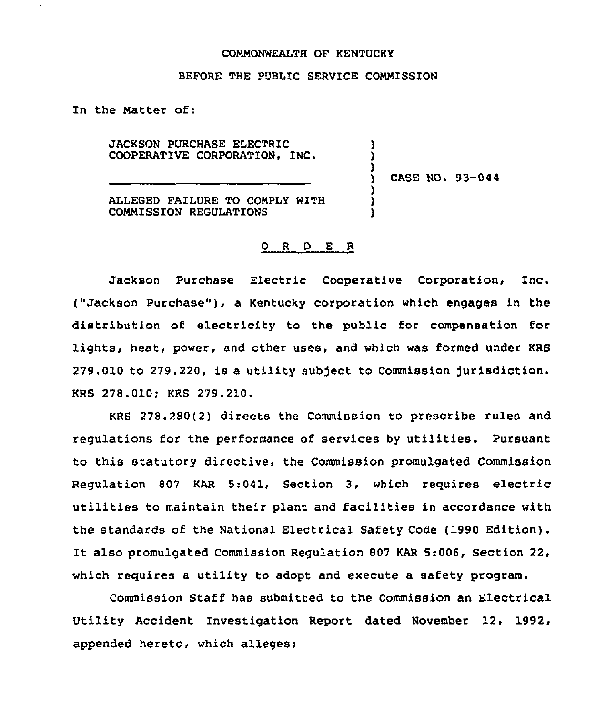#### COMMONWEALTH OF KENTUCKY

#### BEFORE THE PUBLIC SERVICE CONNISSION

In the Natter of:

JACKSON PURCHASE ELECTRIC COOPERATIVE CORPORATION, INC.

CASE NO. 93-044

) )  $\overline{\phantom{a}}$ 

> ) ) )

ALLEGED FAILURE TO COMPLY WITH COMMISSION REGULATIONS

#### 0 <sup>R</sup> <sup>D</sup> E <sup>R</sup>

Jackson Purchase Electric Cooperative Corporation, Inc. ("Jackson Purchase"), a Kentucky corporation which engages in the distribution of electricity to the public for compensation for lights, heat, power, and other uses, and which was formed under KRS 279.010 to 279.220, is a utility sub)ect to Commission Jurisdiction. KRS 278.010; KRS 279.210.

KRS 278.280(2) directs the Commission to prescribe rules and regulations for the performance of services by utilities. Pursuant to this statutory directive, the Commission promulgated Commission Regulation 807 KAR 5:041, Section 3, which requires electric utilities to maintain their plant and facilities in accordance with the standards of the National Electrical Safety Code (1990 Edition). It also promulgated Commission Regulation <sup>807</sup> KAR 5:006, Section 22, which requires a utility to adopt and execute a safety program.

Commission Staff has submitted to the Commission an Electrical Utility Accident Investigation Report dated November 12, 1992, appended hereto, which alleges: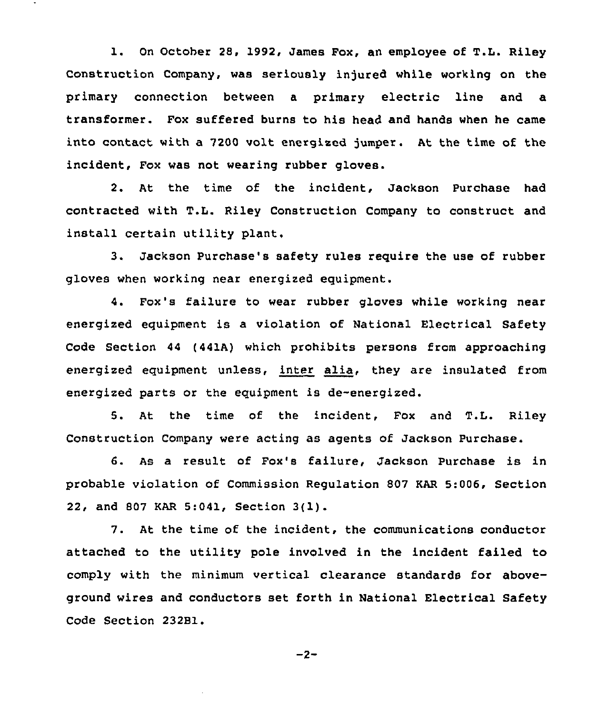l. On October 28, 1992, James Fox, an employee of T.L. Riley Construction Company, was seriously injured while working on the primary connection between <sup>a</sup> primary electric line and a transformer. Fox suffered burns to his head and hands when he came into contact with a 7200 volt energized jumper. At the time of the incident, Fox was not wearing rubber gloves.

2. At the time of the incident, Jackson Purchase had contracted with T.L. Riley Construction Company to construct and install certain utility plant.

3. Jackson Purchase's safety rules require the use of rubber gloves when working near energized equipment.

4. Fox's failure to wear rubber gloves while working near energized equipment is a violation of National Electrical Safety Code Section 44 (441A) which prohibits persons from approaching energized equipment unless, inter alia, they are insulated from energized parts or the equipment is de-energized.

5. At the time of the incident, Fox and T.L. Riley Construction Company were acting as agents of Jackson Purchase.

6. As a result of Fox's failure, Jackson Purchase is in probable violation of Commission Regulation 807 KAR 5:006, Section 22, and <sup>807</sup> KAR 5:041, Section 3(1).

7. At the time of the incident, the communications conductor attached to the utility pole involved in the incident failed to comply with the minimum vertical clearance standards for aboveground wires and conductors set forth in National Electrical Safety Code Section 23281.

$$
-2 -
$$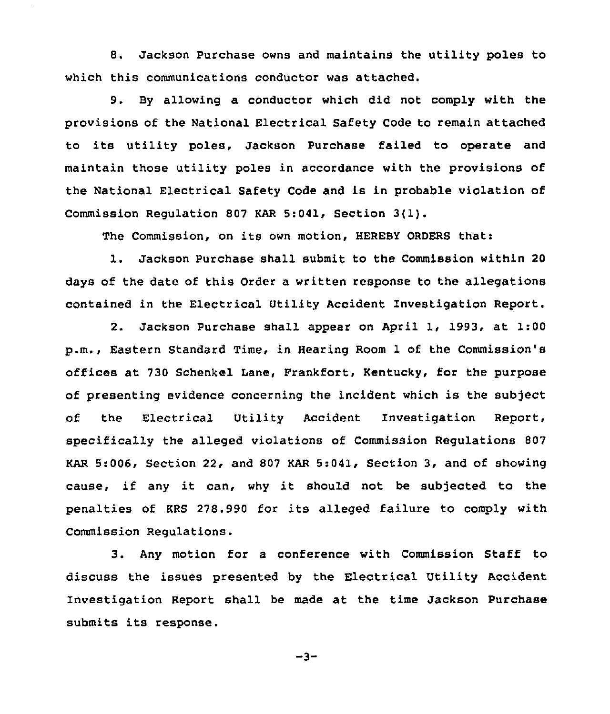8. Jackson Purchase owns and maintains the utility poles to which this communications conductor was attached.

9. By allowing a conductor which did not comply with the provisions of the National Electrical Safety Code to remain attached to its utility poles, Jackson Purchase failed to operate and maintain those utility poles in accordance with the provisions of the National Electrical Safety Code and is in probable violation of Commission Regulation 807 KAR 5:041, Section 3(1).

The Commission, on its own motion, HEREBY ORDERS that:

l. Jackson Purchase shall submit to the Commission within <sup>20</sup> days of the date of this Order a written response to the allegations contained in the Electrical Utility Accident Investigation Report.

2. Jackson Purchase shall appear on April 1, 1993, at 1:00 p.m., Eastern Standard Time, in Hearing Room 1 of the Commission's offices at 730 Schenkel Lane, Frankfort, Kentucky, for the purpose of presenting evidence concerning the incident which is the subject of the Electrical Utility Accident Investigation Report, specifically the alleged violations of Commission Regulations 807 KAR 5:006, Section 22, and 807 KAR 5:041, Section 3, and of showing cause, if any it can, why it should not be subjected to the penalties of KRS 278.990 for its alleged failure to comply with Commission Regulations.

3. Any motion for a conference with Commission Staff to discuss the issues presented by the Electrical Utility Accident Investigation Report shall be made at the time Jackson Purchase submits its response.

 $-3-$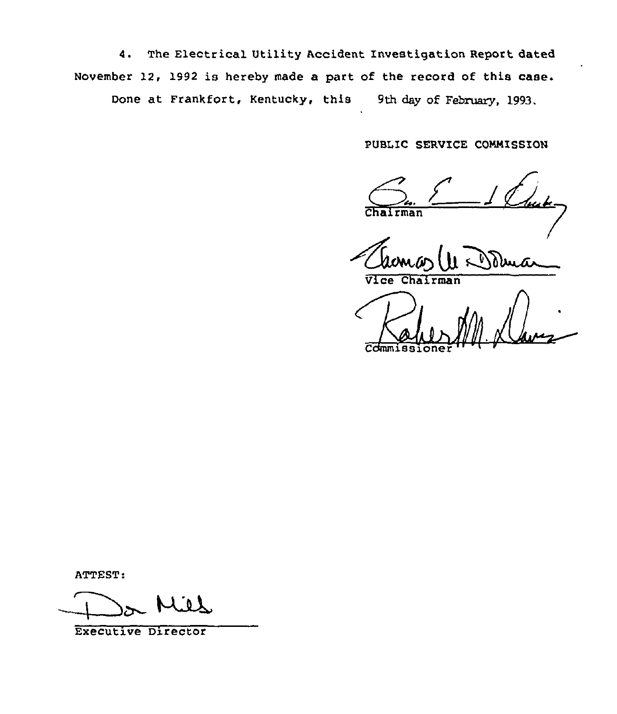4. The Electrical Utility Accident Investigation Report dated November 12, l992 is hereby made a part of the record of this case. Done at Frankfort, Kentucky, this 9th day of February, 1993.

PUBLIC SERVICE COMMISSION

man

<u>as (11 Doma</u>

Vice Chairman

Cdmmissioner

ATTEST:

Executive Director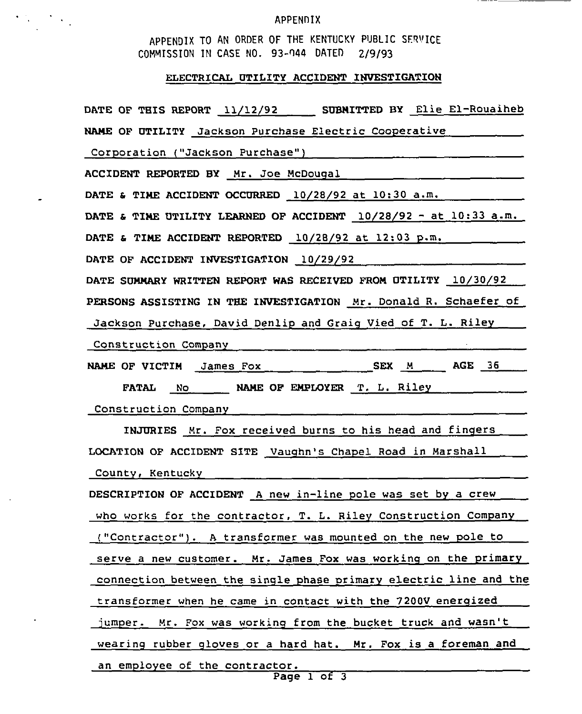#### APPENDIX

APPENDIX TO AN ORDER OF THE KENTUCKY PUBLIC SERVICE COMMISSION IN CASE NO. 93-044 DATED 2/9/93

 $\mathcal{O}(\mathcal{O}(\log n))$ 

# ELECTRICAL UTILITY ACCIDENT INVESTIGATION

| DATE OF THIS REPORT 11/12/92 SUBMITTED BY Elie El-Rouaiheb             |
|------------------------------------------------------------------------|
| NAME OF UTILITY Jackson Purchase Electric Cooperative                  |
|                                                                        |
| ACCIDENT REPORTED BY Mr. Joe McDougal                                  |
| DATE & TIME ACCIDENT OCCURRED 10/28/92 at 10:30 a.m.                   |
| DATE & TIME UTILITY LEARNED OF ACCIDENT $10/28/92 - at \ 10:33 \ a.m.$ |
| DATE & TIME ACCIDENT REPORTED $10/28/92$ at $12:03$ p.m.               |
| DATE OF ACCIDENT INVESTIGATION 10/29/92                                |
| DATE SUMMARY WRITTEN REPORT WAS RECEIVED FROM UTILITY 10/30/92         |
| PERSONS ASSISTING IN THE INVESTIGATION Mr. Donald R. Schaefer of       |
| Jackson Purchase, David Denlip and Graig Vied of T. L. Riley           |
| Construction Company example of the Construction Company               |
|                                                                        |
| FATAL NO NAME OF EMPLOYER T. L. Riley                                  |
| Construction Company                                                   |
| INJURIES Mr. Fox received burns to his head and fingers                |
| LOCATION OF ACCIDENT SITE Vaughn's Chapel Road in Marshall             |
| County, Kentucky                                                       |
| DESCRIPTION OF ACCIDENT A new in-line pole was set by a crew           |
| who works for the contractor, T. L. Riley Construction Company         |
| ("Contractor"). A transformer was mounted on the new pole to           |
| serve a new customer. Mr. James Fox was working on the primary         |
| connection between the single phase primary electric line and the      |
| transformer when he came in contact with the 7200V energized           |
| jumper. Mr. Fox was working from the bucket truck and wasn't           |
| wearing rubber gloves or a hard hat. Mr. Fox is a foreman and          |
| an employee of the contractor.                                         |

Page 1 of 3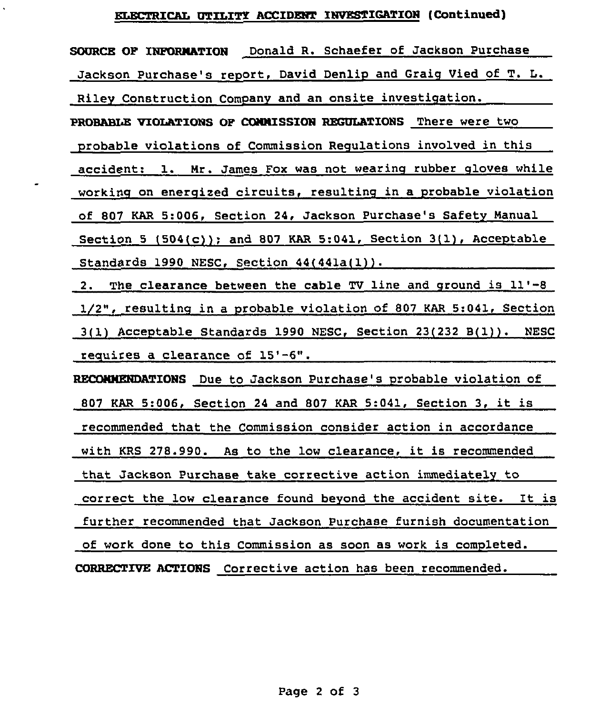SOURCE OF INFORMATION Donald R. Schaefer of Jackson Purchase Jackson Purchase's report, David Denlip and Graiq Vied of T. L. Riley Construction Company and an onsite investiqation. PROBABLE VIOLATIONS OF CONNISSION REGULATIONS There were two probable violations of Commission Requlations involved in this accident: 1. Mr. James Fox was not wearing rubber gloves while working on energized circuits, resultinq in a probable violation of 807 KAR 5:006, Section 24, Jackson Purchase's Safety Manual Section 5  $(504(c))$ ; and 807 KAR 5:041, Section 3(1), Acceptable Standards 1990 NESC, Section 44(441a(1)). 2. The clearance between the cable TV line and ground is 11'-8 I/2", resultinq in a probable violation of 807 KAR 5:041, Section 3(1) Acceptable Standards 1990 NESC, Section 23(232 B(1)). NESC requires <sup>a</sup> clearance of 15'-6". RECOMMENDATIONS Due to Jackson Purchase's probable violation of <sup>807</sup> KAR 5:006, Section <sup>24</sup> and <sup>807</sup> KAR 5:041, Section 3, it is recommended that the Commission consider action in accordance with KRS 278.990. As to the low clearance, it is recommended that Jackson Purchase take corrective action immediately to correct the low clearance found beyond the accident site. It is further recommended that Jackson Purchase furnish documentation of work done to this Commission as soon as work is completed. CORRECTIVE ACTIONS Corrective action has been recommended.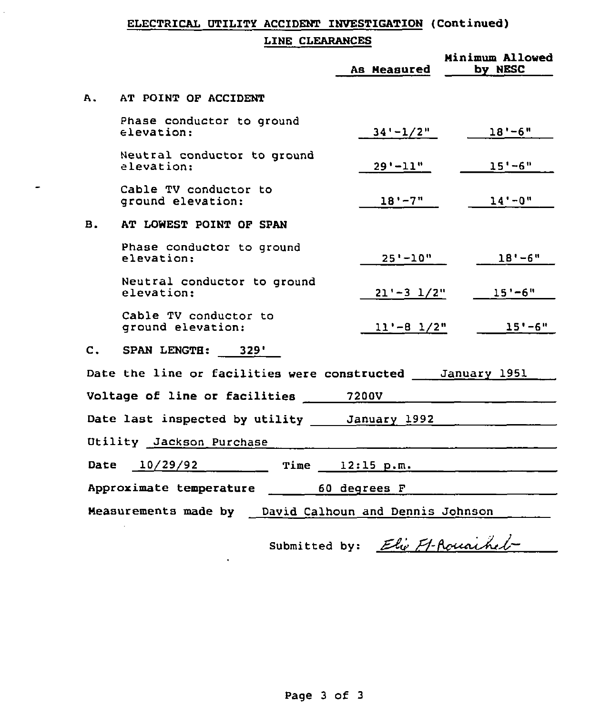## LINE CLEARANCES

|    |                                                           | As Measured    | Minimum Allowed<br>by NESC                              |
|----|-----------------------------------------------------------|----------------|---------------------------------------------------------|
| А. | AT POINT OF ACCIDENT                                      |                |                                                         |
|    | Phase conductor to ground<br>elevation:                   | $34' - 1/2''$  | $18' - 6''$                                             |
|    | Neutral conductor to ground<br>elevation:                 | $29' - 11"$    | $15 - 6$ "                                              |
|    | Cable TV conductor to<br>ground elevation:                | $18' - 7"$     | $14' - 0''$                                             |
| в. | AT LOWEST POINT OF SPAN                                   |                |                                                         |
|    | Phase conductor to ground<br>elevation:                   | 25'-10"        | $18 - 6$ "                                              |
|    | Neutral conductor to ground<br>elevation:                 | $21'-3$ $1/2"$ | $15' - 6"$                                              |
|    | Cable TV conductor to<br>ground elevation:                | $11'-8$ $1/2"$ | $15 - 6$ "                                              |
|    | C. SPAN LENGTH: 329'                                      |                |                                                         |
|    | Date the line or facilities were constructed January 1951 |                |                                                         |
|    | Voltage of line or facilities 7200V                       |                |                                                         |
|    | Date last inspected by utility January 1992               |                |                                                         |
|    | Utility Jackson Purchase                                  |                |                                                         |
|    | Date $10/29/92$ Time $12:15$ p.m.                         |                |                                                         |
|    | Approximate temperature 60 degrees F                      |                |                                                         |
|    | Measurements made by David Calhoun and Dennis Johnson     |                | $\cdot$ $\cdot$ $\cdot$ $\cdot$ $\cdot$ $\cdot$ $\cdot$ |

 $\blacksquare$ 

Submitted by:  $Elw H-Rouanhel-$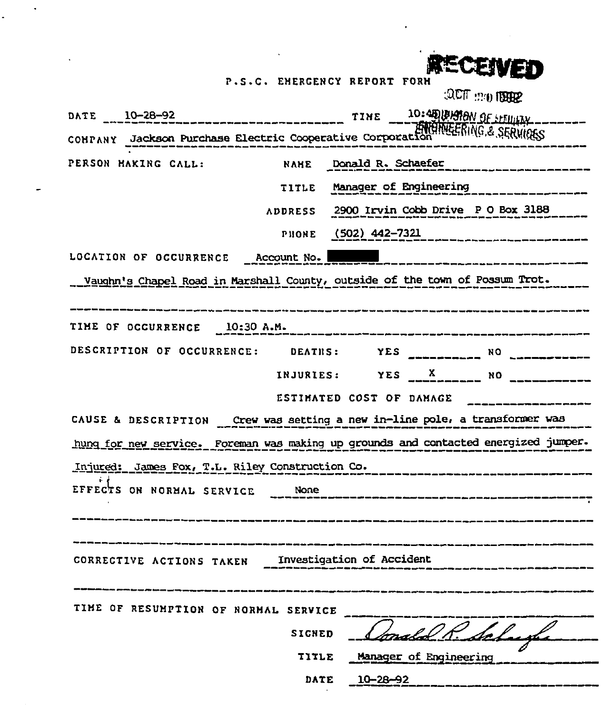| P.S.C. EMERGENCY REPORT FORM | RECEIVED                            |
|------------------------------|-------------------------------------|
|                              | $200$ $\mu$ $\mu$ $\mu$ $\mu$ $\mu$ |

| DATE 10-28-92                                                                  | ------------------ TINE 10:45 BARA OF HEILIAY                                       |
|--------------------------------------------------------------------------------|-------------------------------------------------------------------------------------|
| CONPANY Jackson Purchase Electric Cooperative Corporation MEERING.& SERVICES   |                                                                                     |
| PERSON MAKING CALL:<br><b>NAHE</b>                                             | Donald R. Schaefer<br>___________________                                           |
| TITLE                                                                          |                                                                                     |
| <b>ADDRESS</b>                                                                 | 2900 Irvin Cobb Drive PO Box 3188                                                   |
| PHONE                                                                          | (50 <u>2) 442-7321</u>                                                              |
| LOCATION OF OCCURRENCE<br>Account No.                                          |                                                                                     |
| . Vaughn's Chapel Road in Marshall County, outside of the town of Possum Trot. |                                                                                     |
|                                                                                |                                                                                     |
| TIME OF OCCURRENCE 10:30 A.M.                                                  |                                                                                     |
|                                                                                |                                                                                     |
|                                                                                | INJURIES: YES X NO __________                                                       |
|                                                                                | ESTIMATED COST OF DAMAGE                                                            |
| CAUSE & DESCRIPTION Crew was setting a new in-line pole, a transformer was     |                                                                                     |
|                                                                                | hung for new service. Foreman was making up grounds and contacted energized jumper. |
|                                                                                | Injured: James Fox, T.L. Riley Construction Co.                                     |
|                                                                                | EFFECTS ON NORMAL SERVICE ___ None                                                  |
|                                                                                |                                                                                     |
|                                                                                |                                                                                     |
| CORRECTIVE ACTIONS TAKEN                                                       | Investigation of Accident                                                           |
|                                                                                |                                                                                     |
| TIME OF RESUMPTION OF NORMAL SERVICE                                           |                                                                                     |
| SIGNED                                                                         |                                                                                     |
| <b>TITLE</b>                                                                   | Manager of Engineering                                                              |
| DATE                                                                           | $10 - 28 - 92$                                                                      |

 $\ddot{\phantom{0}}$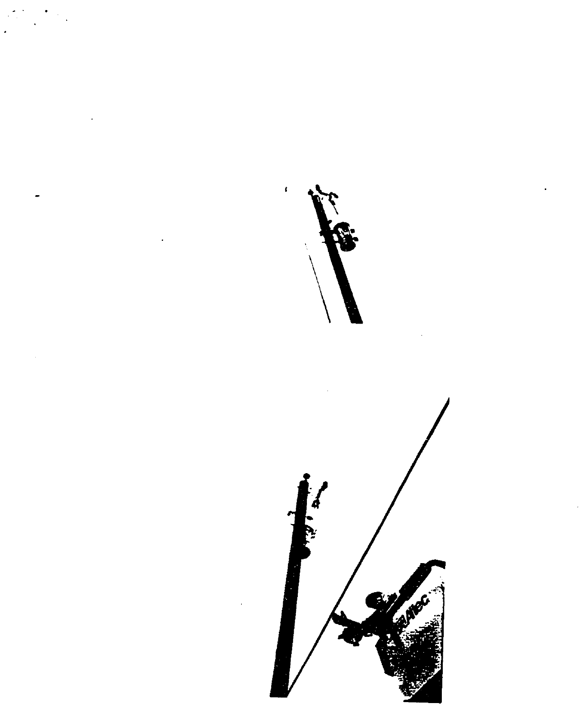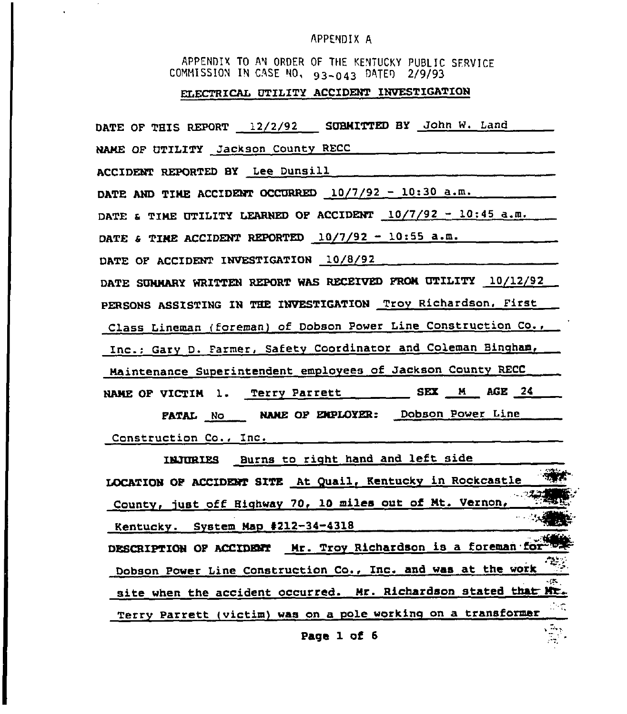#### APPENDIX A

APPENDIX TO AN ORDER OF TNE KENTUCKY PUBLIC SFRVICE COMMISSION IN CASE NO,  $93 - 043$  DATED 2/9/93

### ELECTRICAL UTILITY ACCIDENT INVESTIGATION

DATE OF THIS REPORT 12/2/92 SUBMITTED BY John W. Land NAME OF UTILITY Jackson County RECC ACCIDENT REPORTED BY Lee Dunsill DATE AND TIME ACCIDENT OCCURRED  $\frac{10}{7/92} - \frac{10:30}{6}$  a.m. DATE & TIME UTILITY LEARNED OF ACCIDENT  $10/7/92 - 10:45$  a.m. son Cou<br>Lee Du<br>NT OCCUF<br>LEARNED<br>REPORTI DATE & TIME ACCIDENT REPORTED 10/7/92 - 10:55 a.m. DATE OF ACCIDENT INVESTIGATION 10/8/92 DATE SUMNARY WRITTEN REPORT WAS RECEIVED PRON UTILITY 10/12/92 PERSONS ASSISTINQ IM THE INVESTIGATION Troy Richardson, First Class Lineman (foreman) of Dobson Power Line Construction Co., Inc.; Gary D. Farmer, Safety Coordinator and Coleman Bingham, Maintenance Superintendent emplovees of Jackson County RECC MANE OP VICTIM 1. TerrV Parrett FATAL No WAME OF ENPLOYER: Dobson Power Line Construction Co., Inc. INJURIES Burns to right hand and left side LOCATION OF ACCIDENT SITE At Quail, Kentucky in Rockcastle County, just off Highway 70, 10 miles out of Mt. Vernon, Kentuckv. System Nap 4212-34-4318 DESCRIPTION OF ACCIDENT Mr. Troy Richardson is a foreman for Dobson Power Line Construction Co., Inc. and was at the work site when the accident occurred. Mr. Richardson stated that Mr Terry Parrett (victim) was on a pole working on a transformer Page 1 of 6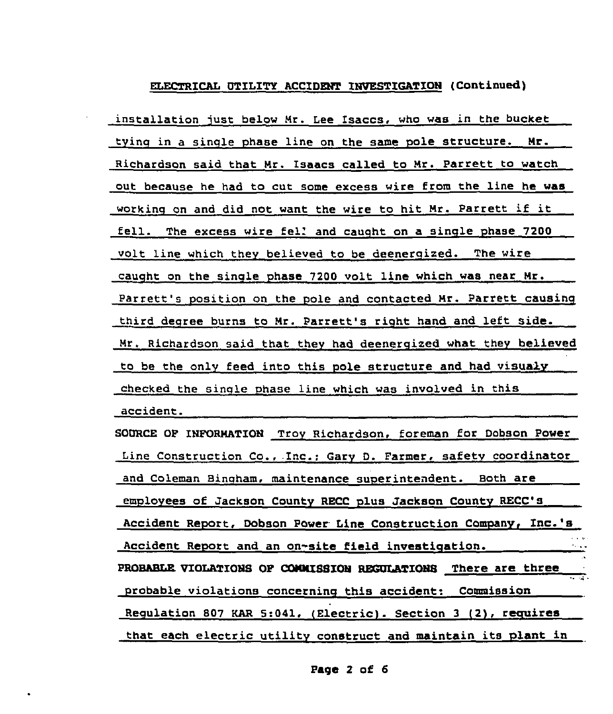installation just below Nr. Lee Isaccs, who was in the bucket tyinq in a sinqle phase line on the same pole structure. Nr. Richardson said that Nr. Isaacs called to Nr. Parrett to watch out because he had to cut some excess wire from the line he was workinq on and did not want the wire to hit Nr. Parrett if it fell. The excess wire fell and caught on a single phase 7200 volt line which they believed to be deenerqized. The wire cauqht on the sinqle phase 7200 volt line which was near Nr. Parrett's position on the pole and contacted Mr. Parrett causing third decree burns to Nr. Parrett's right hand and left side. Nr. Richardson said that they had deenerqired what they believed to be the only feed into this pole structure and had visualy checked the sinqle phase line which was involved in this accident. SODRCE OP IMPORNATIOH Troy Richardson, foreman for Dobson Power Line Construction Co., Inc.; Gary D. Farmer, safetv coordinator and Coleman Binaham, maintenance superintendent. Both are employees of Jackson Countv RECC plus Jackson County RECC's Accident Report, Dobson Power Line Construction Company, Inc.'s Accident Report and an on-site field investiqation. PROBABLE VIOLATIONS OF CONNISSION REGULATIONS There are three probable violations concerninq this accident: Commission Regulation 807 KAR 5:041, (Electric). Section 3 (2), requires that each electric utility construct and maintain its plant in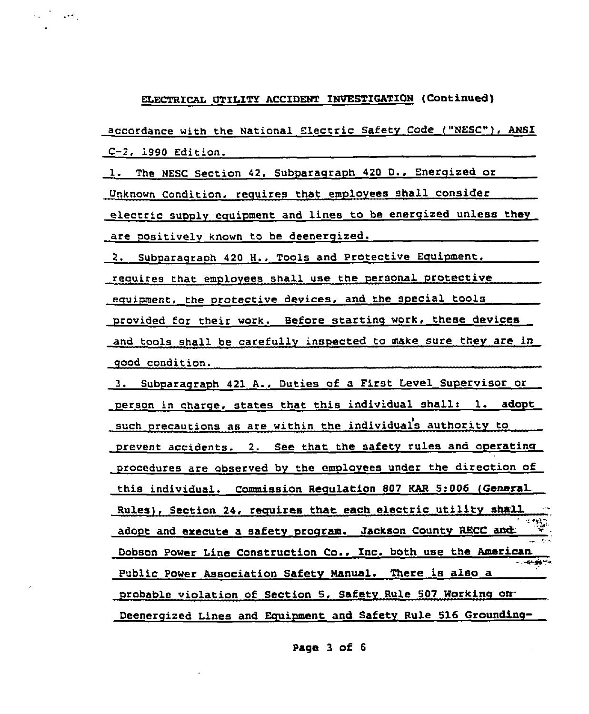$\sim$   $\sim$ 

accordance with the National Electric Safety Code ("NESC"), ANSI C-2, 1990 Edition.

1. The NESC Section 42, Subparagraph 420 D., Energized or Unknown Condition. requires that employees shall consider electric supply equipment and lines to be energized unless they are positively known to be deenerqized.

2. Subparaqraph 420 H.. Tools and Protective Equipment, requires that employees shall use the personal protective equipment, the protective devices, and the special tools provided for their work. Before startinq work, these devices and tools shall be carefully inspected to make sure they are in qood condition.

3. Subparaqraph 421 A., Duties of a First Level Supervisor or person in charqe, states that this individual shall: l. adopt such precautions as are within the individuals authority to prevent accidents.  $2.$  See that the safety rules and operating procedures are observed by the employees under the direction of this individual. Commission Regulation 807 KAR 5:006 (General Rules), Section 24, requires that each electric utility shmill adopt and execute a safety program. Jackson County RECC and Dobson Power Line Construction Co.. Inc. both use the American Public Power Association Safety Nanual. There is also a probable violation of Section 5, Safety Rule 507 Workinq on-Deenergized Lines and Equipment and Safety Rule 516 Grounding-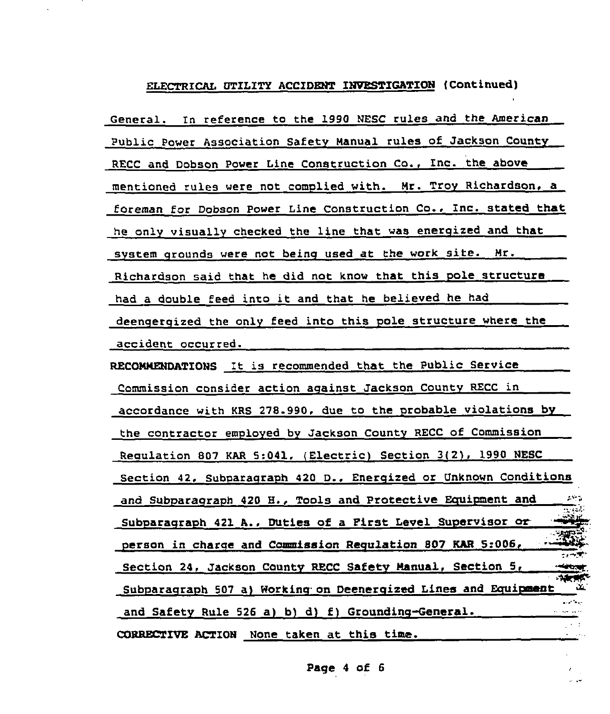General. In reference to the 1990 NESC rules and the American Public Power Association Safety Manual rules of Jackson County RECC and Dobson Power Line Construction Co., Inc. the above mentioned rules were not complied with. Mr. Troy Richardson, a foreman for Dobson Power Line Construction Co., Inc. stated that he only visually checked the line that was energized and that system grounds were not being used at the work site. Mr. Richardson said that he did not know that this pole structure had a double feed into it and that he believed he had deengergized the only feed into this pole structure where the accident occurred. RECOMMENDATIONS It is recommended that the Public Service Commission consider action against Jackson County RECC in accordance with KRS 278.990, due to the probable violations by the contractor employed by Jackson County RECC of Commission Requlation 807 KAR 5:041, (Electric) Section 3(2), 1990 NESC Section 42, Subparaqraph 420 D., Enerqized or Unknown Conditions and Subparagraph 420 H., Tools and Protective Equipment and Subparagraph 421 A., Duties of a Pirst Level Supervisor or z. person in charge and Commission Requlation 807 KAR 5:006, Section 24, Jackson County RECC Safety Manual, Section 5, Subparaqraph 507 a) Working on Deenergized Lines and Equipment and Safety Rule 526 a) b) d) f) Grounding-General. CORRECTIVE ACTION None taken at this time.

سال د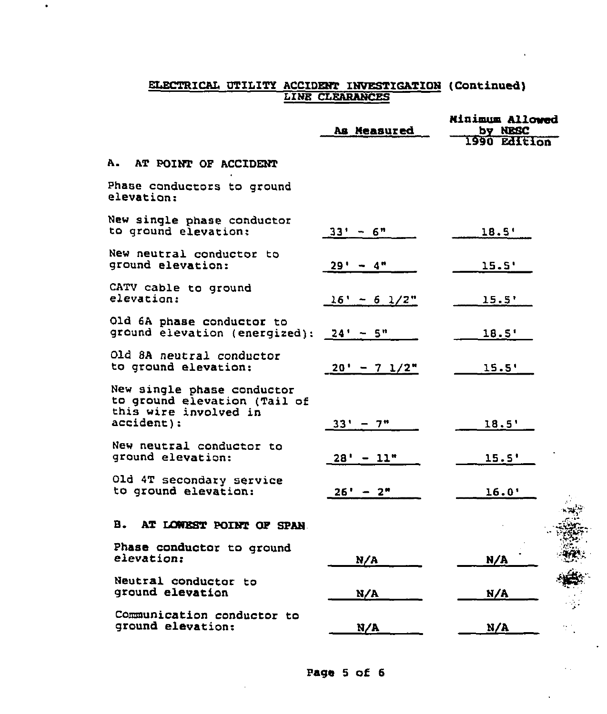### ELECTRICAL UTILITY ACCIDENT INVESTIGATION (Continued) LINE CLEARAHCES

 $\bullet$ 

|                                                                                                   | As Measured       | Minimum Allowed<br>by NESC<br>1990 Edition |
|---------------------------------------------------------------------------------------------------|-------------------|--------------------------------------------|
| Α.<br>AT POINT OF ACCIDENT                                                                        |                   |                                            |
| Phase conductors to ground<br>elevation:                                                          |                   |                                            |
| New single phase conductor<br>to ground elevation:                                                | $33' - 6''$       | 18.5'                                      |
| New neutral conductor to<br>ground elevation:                                                     | $29' - 4''$       | 15.5'                                      |
| CATV cable to ground<br>elevation:                                                                | $16' - 6$ $1/2"$  | 15.5'                                      |
| Old 6A phase conductor to<br>ground elevation (energized):                                        | $24' - 5''$       | 18.5'                                      |
| Old 8A neutral conductor<br>to ground elevation:                                                  | $20' - 7$ $1/2''$ | 15.5'                                      |
| New single phase conductor<br>to ground elevation (Tail of<br>this wire involved in<br>accident): | $33' - 7''$       | 18.5'                                      |
| New neutral conductor to<br>ground elevation:                                                     | $28' - 11''$      | 15.5'                                      |
| Old 4T secondary service<br>to ground elevation:                                                  | $26' - 2''$       | 16.0'                                      |
| В.<br>AT LOWEST POINT OF SPAN.                                                                    |                   |                                            |
| Phase conductor to ground<br>elevation:                                                           | N/A               | N/A                                        |
| Neutral conductor to<br>ground elevation                                                          | N/A               | N/A                                        |
| Communication conductor to<br>ground elevation:                                                   | N/A               | N/A                                        |